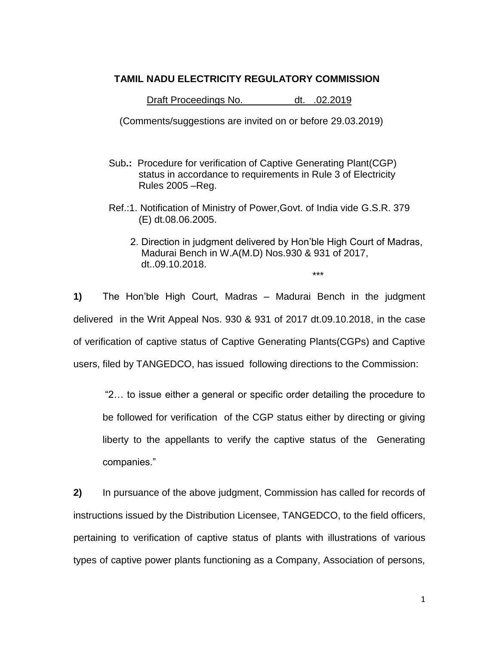## **TAMIL NADU ELECTRICITY REGULATORY COMMISSION**

Draft Proceedings No. dt. .02.2019

(Comments/suggestions are invited on or before 29.03.2019)

- Sub**.:** Procedure for verification of Captive Generating Plant(CGP) status in accordance to requirements in Rule 3 of Electricity Rules 2005 –Reg.
- Ref.:1. Notification of Ministry of Power,Govt. of India vide G.S.R. 379 (E) dt.08.06.2005.
- 2. Direction in judgment delivered by Hon"ble High Court of Madras, Madurai Bench in W.A(M.D) Nos.930 & 931 of 2017, dt..09.10.2018. \*\*\*

**1)** The Hon"ble High Court, Madras – Madurai Bench in the judgment delivered in the Writ Appeal Nos. 930 & 931 of 2017 dt.09.10.2018, in the case of verification of captive status of Captive Generating Plants(CGPs) and Captive users, filed by TANGEDCO, has issued following directions to the Commission:

"2… to issue either a general or specific order detailing the procedure to be followed for verification of the CGP status either by directing or giving liberty to the appellants to verify the captive status of the Generating companies."

**2)** In pursuance of the above judgment, Commission has called for records of instructions issued by the Distribution Licensee, TANGEDCO, to the field officers, pertaining to verification of captive status of plants with illustrations of various types of captive power plants functioning as a Company, Association of persons,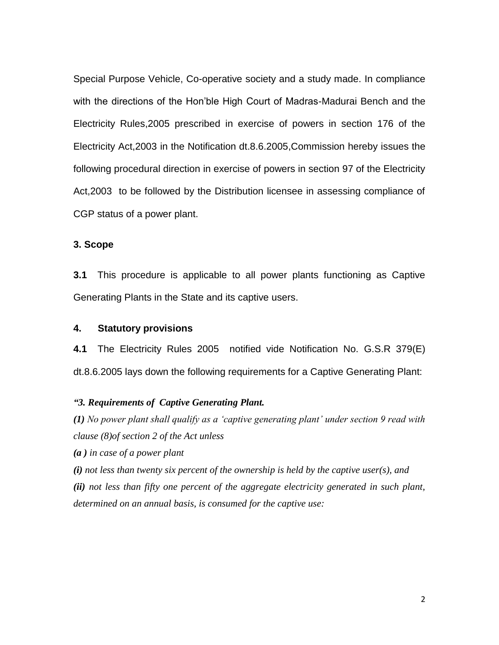Special Purpose Vehicle, Co-operative society and a study made. In compliance with the directions of the Hon"ble High Court of Madras-Madurai Bench and the Electricity Rules,2005 prescribed in exercise of powers in section 176 of the Electricity Act,2003 in the Notification dt.8.6.2005,Commission hereby issues the following procedural direction in exercise of powers in section 97 of the Electricity Act,2003 to be followed by the Distribution licensee in assessing compliance of CGP status of a power plant.

### **3. Scope**

**3.1** This procedure is applicable to all power plants functioning as Captive Generating Plants in the State and its captive users.

### **4. Statutory provisions**

**4.1** The Electricity Rules 2005 notified vide Notification No. G.S.R 379(E) dt.8.6.2005 lays down the following requirements for a Captive Generating Plant:

### *"3. Requirements of Captive Generating Plant.*

*(1) No power plant shall qualify as a "captive generating plant" under section 9 read with clause (8)of section 2 of the Act unless*

*(a ) in case of a power plant*

*(i) not less than twenty six percent of the ownership is held by the captive user(s), and*

*(ii) not less than fifty one percent of the aggregate electricity generated in such plant, determined on an annual basis, is consumed for the captive use:*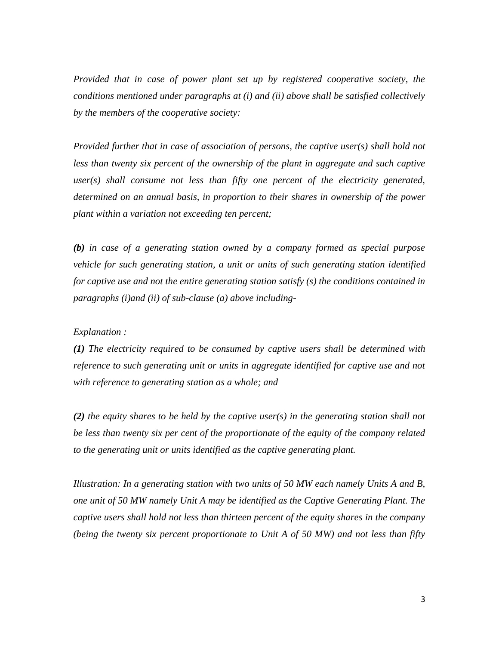*Provided that in case of power plant set up by registered cooperative society, the conditions mentioned under paragraphs at (i) and (ii) above shall be satisfied collectively by the members of the cooperative society:*

*Provided further that in case of association of persons, the captive user(s) shall hold not*  less than twenty six percent of the ownership of the plant in aggregate and such captive *user(s) shall consume not less than fifty one percent of the electricity generated, determined on an annual basis, in proportion to their shares in ownership of the power plant within a variation not exceeding ten percent;*

*(b) in case of a generating station owned by a company formed as special purpose vehicle for such generating station, a unit or units of such generating station identified for captive use and not the entire generating station satisfy (s) the conditions contained in paragraphs (i)and (ii) of sub-clause (a) above including-*

### *Explanation :*

*(1) The electricity required to be consumed by captive users shall be determined with*  reference to such generating unit or units in aggregate identified for captive use and not *with reference to generating station as a whole; and*

*(2) the equity shares to be held by the captive user(s) in the generating station shall not be less than twenty six per cent of the proportionate of the equity of the company related to the generating unit or units identified as the captive generating plant.*

*Illustration: In a generating station with two units of 50 MW each namely Units A and B, one unit of 50 MW namely Unit A may be identified as the Captive Generating Plant. The captive users shall hold not less than thirteen percent of the equity shares in the company (being the twenty six percent proportionate to Unit A of 50 MW) and not less than fifty*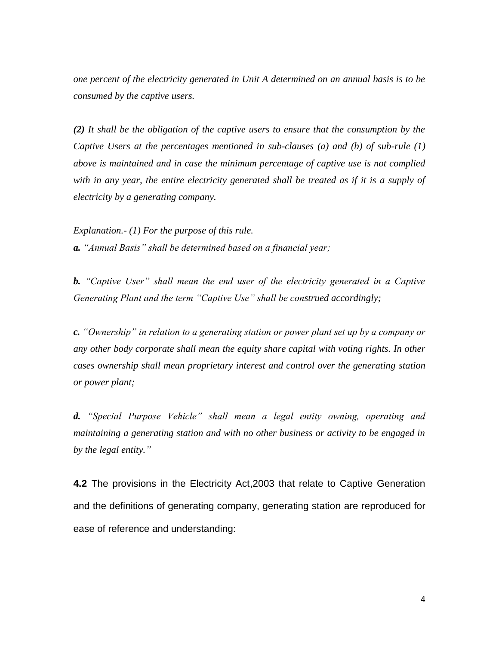*one percent of the electricity generated in Unit A determined on an annual basis is to be consumed by the captive users.*

*(2) It shall be the obligation of the captive users to ensure that the consumption by the Captive Users at the percentages mentioned in sub-clauses (a) and (b) of sub-rule (1) above is maintained and in case the minimum percentage of captive use is not complied with in any year, the entire electricity generated shall be treated as if it is a supply of electricity by a generating company.*

*Explanation.- (1) For the purpose of this rule. a. "Annual Basis" shall be determined based on a financial year;*

*b. "Captive User" shall mean the end user of the electricity generated in a Captive Generating Plant and the term "Captive Use" shall be construed accordingly;*

*c. "Ownership" in relation to a generating station or power plant set up by a company or any other body corporate shall mean the equity share capital with voting rights. In other cases ownership shall mean proprietary interest and control over the generating station or power plant;*

*d. "Special Purpose Vehicle" shall mean a legal entity owning, operating and maintaining a generating station and with no other business or activity to be engaged in by the legal entity."*

**4.2** The provisions in the Electricity Act,2003 that relate to Captive Generation and the definitions of generating company, generating station are reproduced for ease of reference and understanding: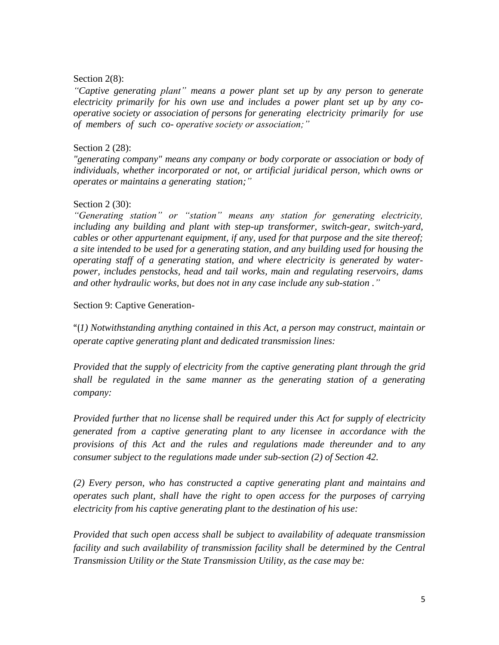### Section 2(8):

*"Captive generating plant" means a power plant set up by any person to generate electricity primarily for his own use and includes a power plant set up by any cooperative society or association of persons for generating electricity primarily for use of members of such co- operative society or association;"*

### Section 2 (28):

*"generating company" means any company or body corporate or association or body of individuals, whether incorporated or not, or artificial juridical person, which owns or operates or maintains a generating station;"*

### Section 2 (30):

*"Generating station" or "station" means any station for generating electricity, including any building and plant with step-up transformer, switch-gear, switch-yard, cables or other appurtenant equipment, if any, used for that purpose and the site thereof; a site intended to be used for a generating station, and any building used for housing the operating staff of a generating station, and where electricity is generated by waterpower, includes penstocks, head and tail works, main and regulating reservoirs, dams and other hydraulic works, but does not in any case include any sub-station ."*

### Section 9: Captive Generation-

"(*1) Notwithstanding anything contained in this Act, a person may construct, maintain or operate captive generating plant and dedicated transmission lines:* 

*Provided that the supply of electricity from the captive generating plant through the grid shall be regulated in the same manner as the generating station of a generating company:* 

*Provided further that no license shall be required under this Act for supply of electricity generated from a captive generating plant to any licensee in accordance with the provisions of this Act and the rules and regulations made thereunder and to any consumer subject to the regulations made under sub-section (2) of Section 42.*

*(2) Every person, who has constructed a captive generating plant and maintains and operates such plant, shall have the right to open access for the purposes of carrying electricity from his captive generating plant to the destination of his use:*

*Provided that such open access shall be subject to availability of adequate transmission facility and such availability of transmission facility shall be determined by the Central Transmission Utility or the State Transmission Utility, as the case may be:*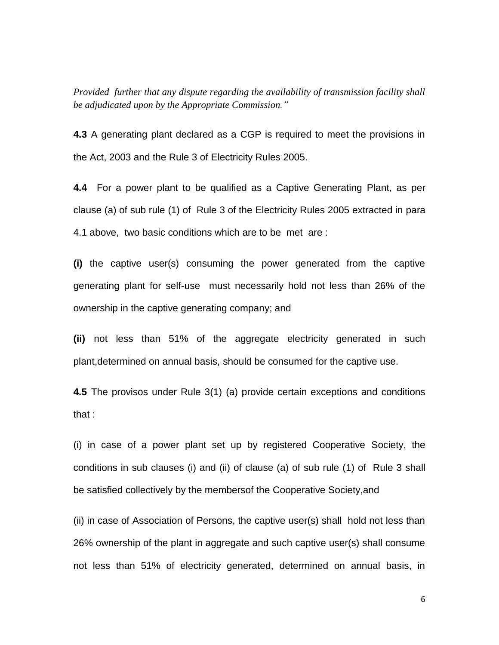*Provided further that any dispute regarding the availability of transmission facility shall be adjudicated upon by the Appropriate Commission."*

**4.3** A generating plant declared as a CGP is required to meet the provisions in the Act, 2003 and the Rule 3 of Electricity Rules 2005.

**4.4** For a power plant to be qualified as a Captive Generating Plant, as per clause (a) of sub rule (1) of Rule 3 of the Electricity Rules 2005 extracted in para 4.1 above, two basic conditions which are to be met are :

**(i)** the captive user(s) consuming the power generated from the captive generating plant for self-use must necessarily hold not less than 26% of the ownership in the captive generating company; and

**(ii)** not less than 51% of the aggregate electricity generated in such plant,determined on annual basis, should be consumed for the captive use.

**4.5** The provisos under Rule 3(1) (a) provide certain exceptions and conditions that :

(i) in case of a power plant set up by registered Cooperative Society, the conditions in sub clauses (i) and (ii) of clause (a) of sub rule (1) of Rule 3 shall be satisfied collectively by the membersof the Cooperative Society,and

(ii) in case of Association of Persons, the captive user(s) shall hold not less than 26% ownership of the plant in aggregate and such captive user(s) shall consume not less than 51% of electricity generated, determined on annual basis, in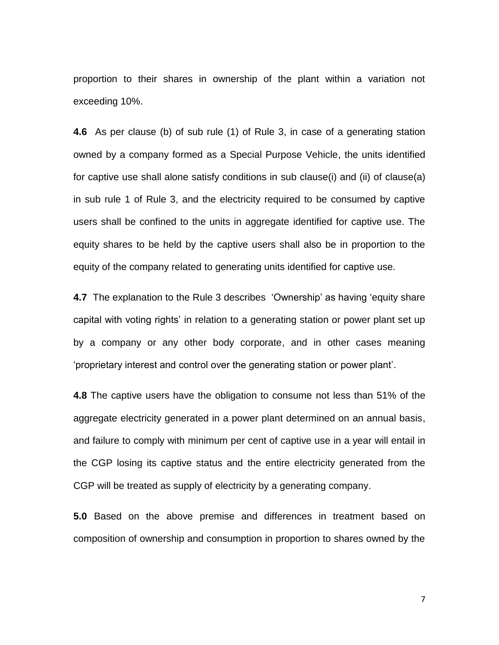proportion to their shares in ownership of the plant within a variation not exceeding 10%.

**4.6** As per clause (b) of sub rule (1) of Rule 3, in case of a generating station owned by a company formed as a Special Purpose Vehicle, the units identified for captive use shall alone satisfy conditions in sub clause(i) and (ii) of clause(a) in sub rule 1 of Rule 3, and the electricity required to be consumed by captive users shall be confined to the units in aggregate identified for captive use. The equity shares to be held by the captive users shall also be in proportion to the equity of the company related to generating units identified for captive use.

**4.7** The explanation to the Rule 3 describes 'Ownership' as having 'equity share capital with voting rights" in relation to a generating station or power plant set up by a company or any other body corporate, and in other cases meaning "proprietary interest and control over the generating station or power plant".

**4.8** The captive users have the obligation to consume not less than 51% of the aggregate electricity generated in a power plant determined on an annual basis, and failure to comply with minimum per cent of captive use in a year will entail in the CGP losing its captive status and the entire electricity generated from the CGP will be treated as supply of electricity by a generating company.

**5.0** Based on the above premise and differences in treatment based on composition of ownership and consumption in proportion to shares owned by the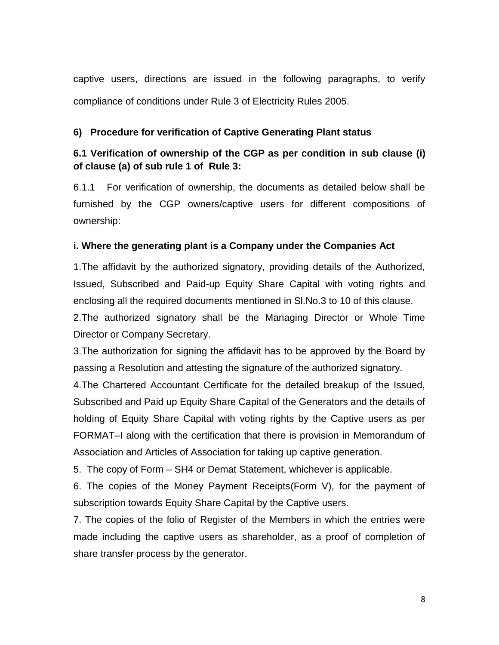captive users, directions are issued in the following paragraphs, to verify compliance of conditions under Rule 3 of Electricity Rules 2005.

## **6) Procedure for verification of Captive Generating Plant status**

## **6.1 Verification of ownership of the CGP as per condition in sub clause (i) of clause (a) of sub rule 1 of Rule 3:**

6.1.1 For verification of ownership, the documents as detailed below shall be furnished by the CGP owners/captive users for different compositions of ownership:

## **i. Where the generating plant is a Company under the Companies Act**

1.The affidavit by the authorized signatory, providing details of the Authorized, Issued, Subscribed and Paid-up Equity Share Capital with voting rights and enclosing all the required documents mentioned in Sl.No.3 to 10 of this clause.

2.The authorized signatory shall be the Managing Director or Whole Time Director or Company Secretary.

3.The authorization for signing the affidavit has to be approved by the Board by passing a Resolution and attesting the signature of the authorized signatory.

4.The Chartered Accountant Certificate for the detailed breakup of the Issued, Subscribed and Paid up Equity Share Capital of the Generators and the details of holding of Equity Share Capital with voting rights by the Captive users as per FORMAT–I along with the certification that there is provision in Memorandum of Association and Articles of Association for taking up captive generation.

5. The copy of Form – SH4 or Demat Statement, whichever is applicable.

6. The copies of the Money Payment Receipts(Form V), for the payment of subscription towards Equity Share Capital by the Captive users.

7. The copies of the folio of Register of the Members in which the entries were made including the captive users as shareholder, as a proof of completion of share transfer process by the generator.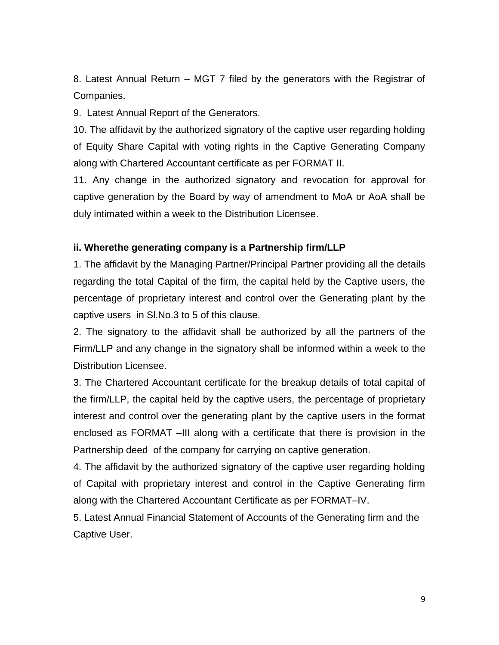8. Latest Annual Return – MGT 7 filed by the generators with the Registrar of Companies.

9. Latest Annual Report of the Generators.

10. The affidavit by the authorized signatory of the captive user regarding holding of Equity Share Capital with voting rights in the Captive Generating Company along with Chartered Accountant certificate as per FORMAT II.

11. Any change in the authorized signatory and revocation for approval for captive generation by the Board by way of amendment to MoA or AoA shall be duly intimated within a week to the Distribution Licensee.

### **ii. Wherethe generating company is a Partnership firm/LLP**

1. The affidavit by the Managing Partner/Principal Partner providing all the details regarding the total Capital of the firm, the capital held by the Captive users, the percentage of proprietary interest and control over the Generating plant by the captive users in Sl.No.3 to 5 of this clause.

2. The signatory to the affidavit shall be authorized by all the partners of the Firm/LLP and any change in the signatory shall be informed within a week to the Distribution Licensee.

3. The Chartered Accountant certificate for the breakup details of total capital of the firm/LLP, the capital held by the captive users, the percentage of proprietary interest and control over the generating plant by the captive users in the format enclosed as FORMAT –III along with a certificate that there is provision in the Partnership deed of the company for carrying on captive generation.

4. The affidavit by the authorized signatory of the captive user regarding holding of Capital with proprietary interest and control in the Captive Generating firm along with the Chartered Accountant Certificate as per FORMAT–IV.

5. Latest Annual Financial Statement of Accounts of the Generating firm and the Captive User.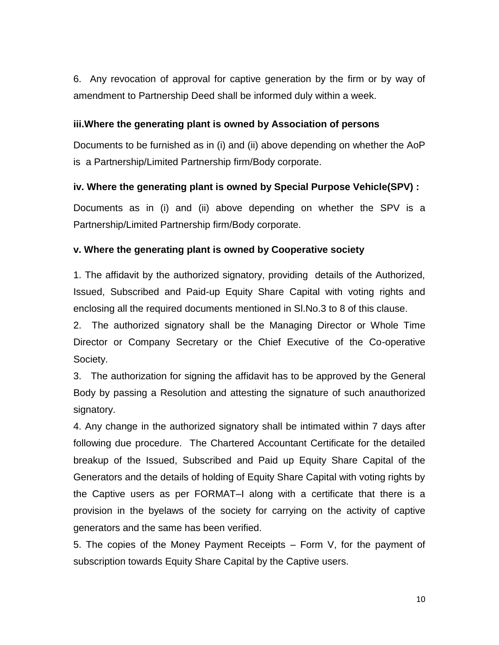6. Any revocation of approval for captive generation by the firm or by way of amendment to Partnership Deed shall be informed duly within a week.

## **iii.Where the generating plant is owned by Association of persons**

Documents to be furnished as in (i) and (ii) above depending on whether the AoP is a Partnership/Limited Partnership firm/Body corporate.

## **iv. Where the generating plant is owned by Special Purpose Vehicle(SPV) :**

Documents as in (i) and (ii) above depending on whether the SPV is a Partnership/Limited Partnership firm/Body corporate.

## **v. Where the generating plant is owned by Cooperative society**

1. The affidavit by the authorized signatory, providing details of the Authorized, Issued, Subscribed and Paid-up Equity Share Capital with voting rights and enclosing all the required documents mentioned in Sl.No.3 to 8 of this clause.

2. The authorized signatory shall be the Managing Director or Whole Time Director or Company Secretary or the Chief Executive of the Co-operative Society.

3. The authorization for signing the affidavit has to be approved by the General Body by passing a Resolution and attesting the signature of such anauthorized signatory.

4. Any change in the authorized signatory shall be intimated within 7 days after following due procedure. The Chartered Accountant Certificate for the detailed breakup of the Issued, Subscribed and Paid up Equity Share Capital of the Generators and the details of holding of Equity Share Capital with voting rights by the Captive users as per FORMAT–I along with a certificate that there is a provision in the byelaws of the society for carrying on the activity of captive generators and the same has been verified.

5. The copies of the Money Payment Receipts – Form V, for the payment of subscription towards Equity Share Capital by the Captive users.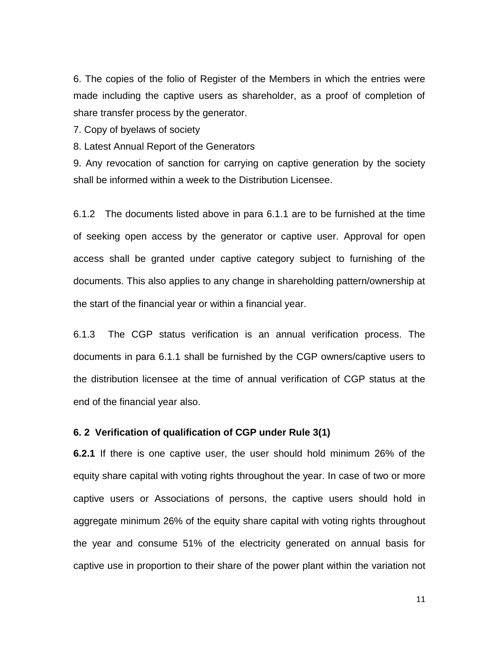6. The copies of the folio of Register of the Members in which the entries were made including the captive users as shareholder, as a proof of completion of share transfer process by the generator.

7. Copy of byelaws of society

8. Latest Annual Report of the Generators

9. Any revocation of sanction for carrying on captive generation by the society shall be informed within a week to the Distribution Licensee.

6.1.2 The documents listed above in para 6.1.1 are to be furnished at the time of seeking open access by the generator or captive user. Approval for open access shall be granted under captive category subject to furnishing of the documents. This also applies to any change in shareholding pattern/ownership at the start of the financial year or within a financial year.

6.1.3 The CGP status verification is an annual verification process. The documents in para 6.1.1 shall be furnished by the CGP owners/captive users to the distribution licensee at the time of annual verification of CGP status at the end of the financial year also.

### **6. 2 Verification of qualification of CGP under Rule 3(1)**

**6.2.1** If there is one captive user, the user should hold minimum 26% of the equity share capital with voting rights throughout the year. In case of two or more captive users or Associations of persons, the captive users should hold in aggregate minimum 26% of the equity share capital with voting rights throughout the year and consume 51% of the electricity generated on annual basis for captive use in proportion to their share of the power plant within the variation not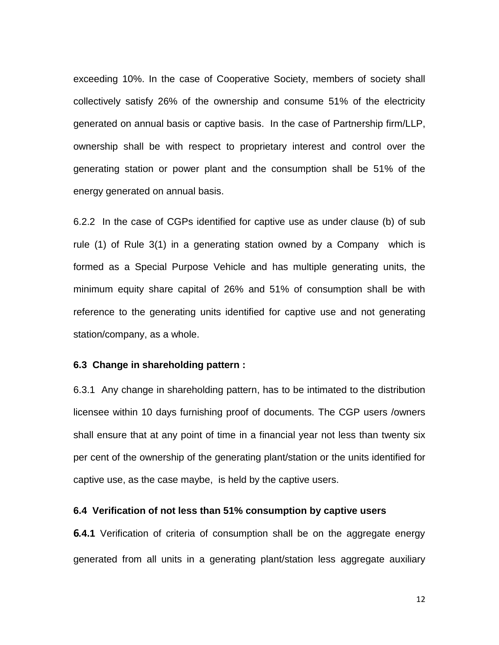exceeding 10%. In the case of Cooperative Society, members of society shall collectively satisfy 26% of the ownership and consume 51% of the electricity generated on annual basis or captive basis. In the case of Partnership firm/LLP, ownership shall be with respect to proprietary interest and control over the generating station or power plant and the consumption shall be 51% of the energy generated on annual basis.

6.2.2 In the case of CGPs identified for captive use as under clause (b) of sub rule (1) of Rule 3(1) in a generating station owned by a Company which is formed as a Special Purpose Vehicle and has multiple generating units, the minimum equity share capital of 26% and 51% of consumption shall be with reference to the generating units identified for captive use and not generating station/company, as a whole.

### **6.3 Change in shareholding pattern :**

6.3.1 Any change in shareholding pattern, has to be intimated to the distribution licensee within 10 days furnishing proof of documents. The CGP users /owners shall ensure that at any point of time in a financial year not less than twenty six per cent of the ownership of the generating plant/station or the units identified for captive use, as the case maybe, is held by the captive users.

### **6.4 Verification of not less than 51% consumption by captive users**

**6***.***4.1** Verification of criteria of consumption shall be on the aggregate energy generated from all units in a generating plant/station less aggregate auxiliary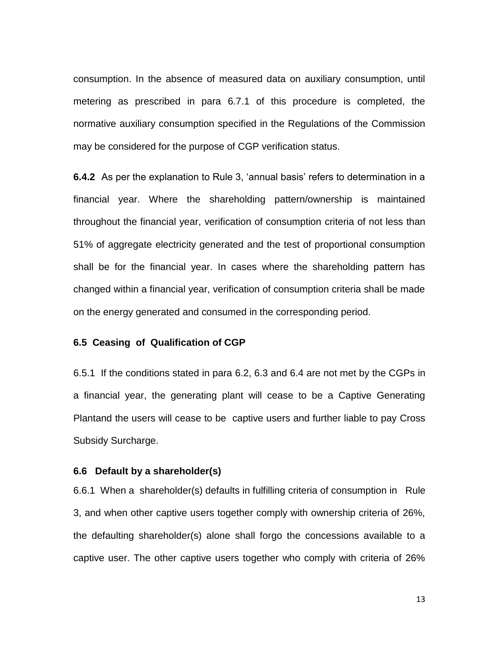consumption. In the absence of measured data on auxiliary consumption, until metering as prescribed in para 6.7.1 of this procedure is completed, the normative auxiliary consumption specified in the Regulations of the Commission may be considered for the purpose of CGP verification status.

**6.4.2** As per the explanation to Rule 3, 'annual basis' refers to determination in a financial year. Where the shareholding pattern/ownership is maintained throughout the financial year, verification of consumption criteria of not less than 51% of aggregate electricity generated and the test of proportional consumption shall be for the financial year. In cases where the shareholding pattern has changed within a financial year, verification of consumption criteria shall be made on the energy generated and consumed in the corresponding period.

### **6.5 Ceasing of Qualification of CGP**

6.5.1 If the conditions stated in para 6.2, 6.3 and 6.4 are not met by the CGPs in a financial year, the generating plant will cease to be a Captive Generating Plantand the users will cease to be captive users and further liable to pay Cross Subsidy Surcharge.

### **6.6 Default by a shareholder(s)**

6.6.1 When a shareholder(s) defaults in fulfilling criteria of consumption in Rule 3, and when other captive users together comply with ownership criteria of 26%, the defaulting shareholder(s) alone shall forgo the concessions available to a captive user. The other captive users together who comply with criteria of 26%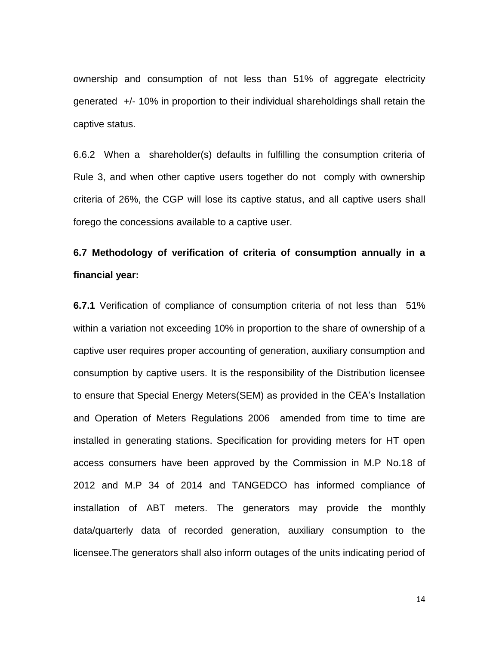ownership and consumption of not less than 51% of aggregate electricity generated +/- 10% in proportion to their individual shareholdings shall retain the captive status.

6.6.2 When a shareholder(s) defaults in fulfilling the consumption criteria of Rule 3, and when other captive users together do not comply with ownership criteria of 26%, the CGP will lose its captive status, and all captive users shall forego the concessions available to a captive user.

# **6.7 Methodology of verification of criteria of consumption annually in a financial year:**

**6.7.1** Verification of compliance of consumption criteria of not less than 51% within a variation not exceeding 10% in proportion to the share of ownership of a captive user requires proper accounting of generation, auxiliary consumption and consumption by captive users. It is the responsibility of the Distribution licensee to ensure that Special Energy Meters(SEM) as provided in the CEA"s Installation and Operation of Meters Regulations 2006 amended from time to time are installed in generating stations. Specification for providing meters for HT open access consumers have been approved by the Commission in M.P No.18 of 2012 and M.P 34 of 2014 and TANGEDCO has informed compliance of installation of ABT meters. The generators may provide the monthly data/quarterly data of recorded generation, auxiliary consumption to the licensee.The generators shall also inform outages of the units indicating period of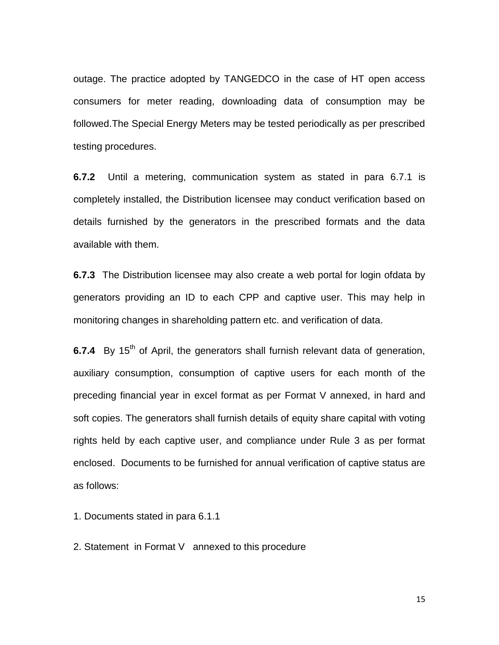outage. The practice adopted by TANGEDCO in the case of HT open access consumers for meter reading, downloading data of consumption may be followed.The Special Energy Meters may be tested periodically as per prescribed testing procedures.

**6.7.2** Until a metering, communication system as stated in para 6.7.1 is completely installed, the Distribution licensee may conduct verification based on details furnished by the generators in the prescribed formats and the data available with them.

**6.7.3** The Distribution licensee may also create a web portal for login ofdata by generators providing an ID to each CPP and captive user. This may help in monitoring changes in shareholding pattern etc. and verification of data.

**6.7.4** By 15<sup>th</sup> of April, the generators shall furnish relevant data of generation, auxiliary consumption, consumption of captive users for each month of the preceding financial year in excel format as per Format V annexed, in hard and soft copies. The generators shall furnish details of equity share capital with voting rights held by each captive user, and compliance under Rule 3 as per format enclosed. Documents to be furnished for annual verification of captive status are as follows:

1. Documents stated in para 6.1.1

2. Statement in Format V annexed to this procedure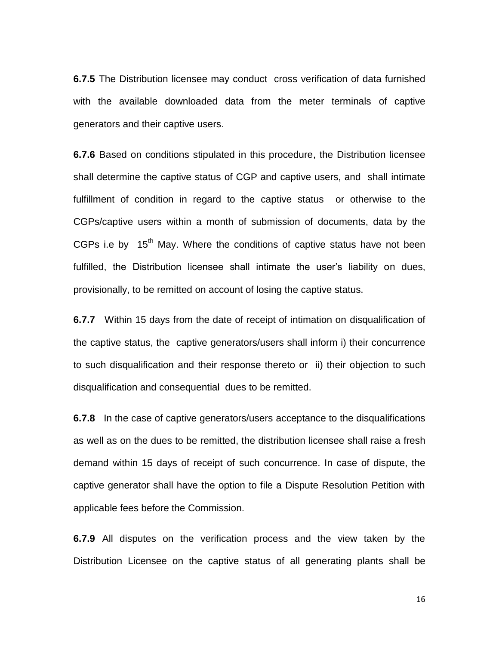**6.7.5** The Distribution licensee may conduct cross verification of data furnished with the available downloaded data from the meter terminals of captive generators and their captive users.

**6.7.6** Based on conditions stipulated in this procedure, the Distribution licensee shall determine the captive status of CGP and captive users, and shall intimate fulfillment of condition in regard to the captive status or otherwise to the CGPs/captive users within a month of submission of documents, data by the CGPs i.e by  $15<sup>th</sup>$  May. Where the conditions of captive status have not been fulfilled, the Distribution licensee shall intimate the user"s liability on dues, provisionally, to be remitted on account of losing the captive status.

**6.7.7** Within 15 days from the date of receipt of intimation on disqualification of the captive status, the captive generators/users shall inform i) their concurrence to such disqualification and their response thereto or ii) their objection to such disqualification and consequential dues to be remitted.

**6.7.8** In the case of captive generators/users acceptance to the disqualifications as well as on the dues to be remitted, the distribution licensee shall raise a fresh demand within 15 days of receipt of such concurrence. In case of dispute, the captive generator shall have the option to file a Dispute Resolution Petition with applicable fees before the Commission.

**6.7.9** All disputes on the verification process and the view taken by the Distribution Licensee on the captive status of all generating plants shall be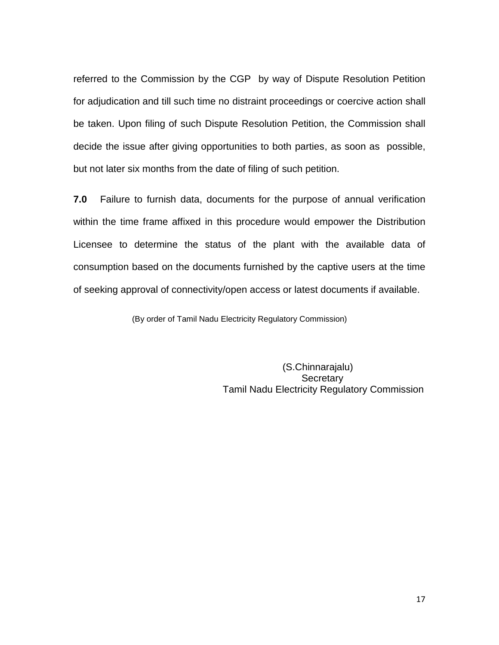referred to the Commission by the CGP by way of Dispute Resolution Petition for adjudication and till such time no distraint proceedings or coercive action shall be taken. Upon filing of such Dispute Resolution Petition, the Commission shall decide the issue after giving opportunities to both parties, as soon as possible, but not later six months from the date of filing of such petition.

**7.0** Failure to furnish data, documents for the purpose of annual verification within the time frame affixed in this procedure would empower the Distribution Licensee to determine the status of the plant with the available data of consumption based on the documents furnished by the captive users at the time of seeking approval of connectivity/open access or latest documents if available.

(By order of Tamil Nadu Electricity Regulatory Commission)

 (S.Chinnarajalu) **Secretary** Tamil Nadu Electricity Regulatory Commission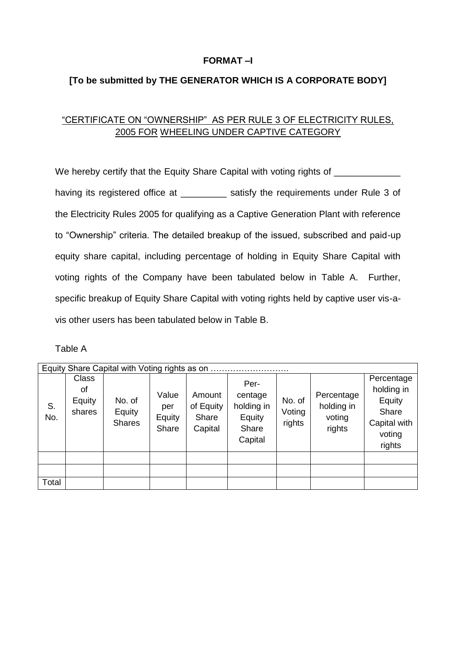## **FORMAT –I**

## **[To be submitted by THE GENERATOR WHICH IS A CORPORATE BODY]**

# "CERTIFICATE ON "OWNERSHIP" AS PER RULE 3 OF ELECTRICITY RULES, 2005 FOR WHEELING UNDER CAPTIVE CATEGORY

We hereby certify that the Equity Share Capital with voting rights of having its registered office at **Satisfy** the requirements under Rule 3 of the Electricity Rules 2005 for qualifying as a Captive Generation Plant with reference to "Ownership" criteria. The detailed breakup of the issued, subscribed and paid-up equity share capital, including percentage of holding in Equity Share Capital with voting rights of the Company have been tabulated below in Table A. Further, specific breakup of Equity Share Capital with voting rights held by captive user vis-avis other users has been tabulated below in Table B.

| able |  |
|------|--|
|      |  |

|           | Equity Share Capital with Voting rights as on |                                   |                                 |                                         |                                                             |                            |                                              |                                                                                 |  |  |
|-----------|-----------------------------------------------|-----------------------------------|---------------------------------|-----------------------------------------|-------------------------------------------------------------|----------------------------|----------------------------------------------|---------------------------------------------------------------------------------|--|--|
| S.<br>No. | <b>Class</b><br>Οf<br>Equity<br>shares        | No. of<br>Equity<br><b>Shares</b> | Value<br>per<br>Equity<br>Share | Amount<br>of Equity<br>Share<br>Capital | Per-<br>centage<br>holding in<br>Equity<br>Share<br>Capital | No. of<br>Voting<br>rights | Percentage<br>holding in<br>voting<br>rights | Percentage<br>holding in<br>Equity<br>Share<br>Capital with<br>voting<br>rights |  |  |
|           |                                               |                                   |                                 |                                         |                                                             |                            |                                              |                                                                                 |  |  |
|           |                                               |                                   |                                 |                                         |                                                             |                            |                                              |                                                                                 |  |  |
| Total     |                                               |                                   |                                 |                                         |                                                             |                            |                                              |                                                                                 |  |  |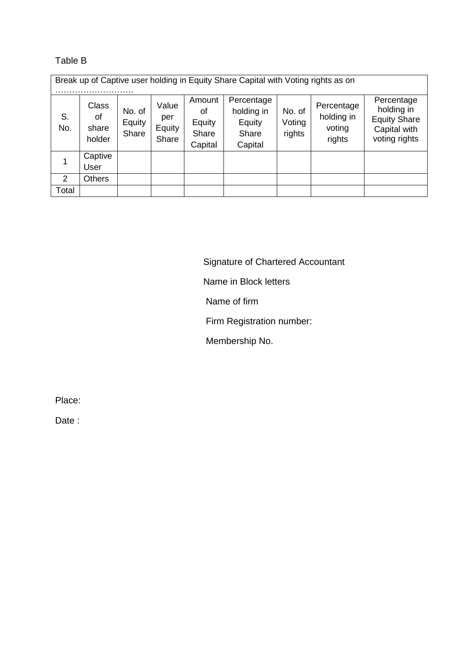## Table B

Break up of Captive user holding in Equity Share Capital with Voting rights as on

| S.<br>No. | <b>Class</b><br>οf<br>share<br>holder | No. of<br>Equity<br>Share | Value<br>per<br>Equity<br>Share | Amount<br>0f<br>Equity<br>Share<br>Capital | Percentage<br>holding in<br>Equity<br>Share<br>Capital | No. of<br>Voting<br>rights | Percentage<br>holding in<br>voting<br>rights | Percentage<br>holding in<br><b>Equity Share</b><br>Capital with<br>voting rights |  |  |  |
|-----------|---------------------------------------|---------------------------|---------------------------------|--------------------------------------------|--------------------------------------------------------|----------------------------|----------------------------------------------|----------------------------------------------------------------------------------|--|--|--|
|           | Captive<br>User                       |                           |                                 |                                            |                                                        |                            |                                              |                                                                                  |  |  |  |
| 2         | Others                                |                           |                                 |                                            |                                                        |                            |                                              |                                                                                  |  |  |  |
| Total     |                                       |                           |                                 |                                            |                                                        |                            |                                              |                                                                                  |  |  |  |

Signature of Chartered Accountant

## Name in Block letters

Name of firm

Firm Registration number:

Membership No.

Place:

Date :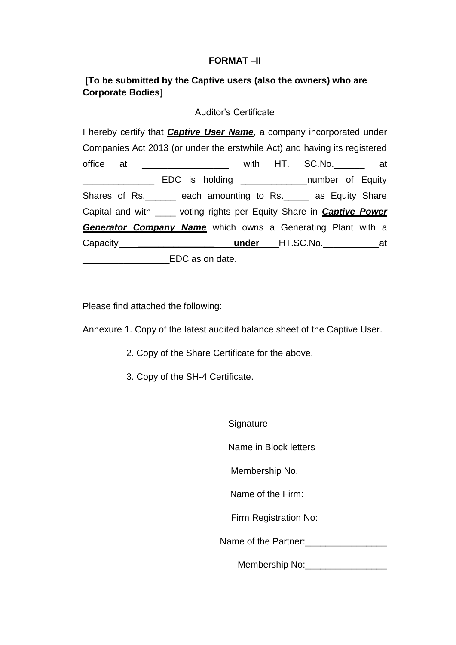## **FORMAT –II**

## **[To be submitted by the Captive users (also the owners) who are Corporate Bodies]**

### Auditor's Certificate

I hereby certify that *Captive User Name*, a company incorporated under Companies Act 2013 (or under the erstwhile Act) and having its registered office at  $=$  with HT. SC.No. at EDC is holding \_\_\_\_\_\_\_\_\_\_\_\_\_\_\_\_number of Equity Shares of Rs. \_\_\_\_\_\_ each amounting to Rs. \_\_\_\_\_ as Equity Share Capital and with \_\_\_\_ voting rights per Equity Share in *Captive Power Generator Company Name* which owns a Generating Plant with a Capacity **\_\_\_\_\_\_\_\_\_\_\_\_\_\_\_ under** HT.SC.No.\_\_\_\_\_\_\_\_\_\_\_at **EDC** as on date.

Please find attached the following:

Annexure 1. Copy of the latest audited balance sheet of the Captive User.

- 2. Copy of the Share Certificate for the above.
- 3. Copy of the SH-4 Certificate.

**Signature** 

Name in Block letters

Membership No.

Name of the Firm:

Firm Registration No:

Name of the Partner:

Membership No:\_\_\_\_\_\_\_\_\_\_\_\_\_\_\_\_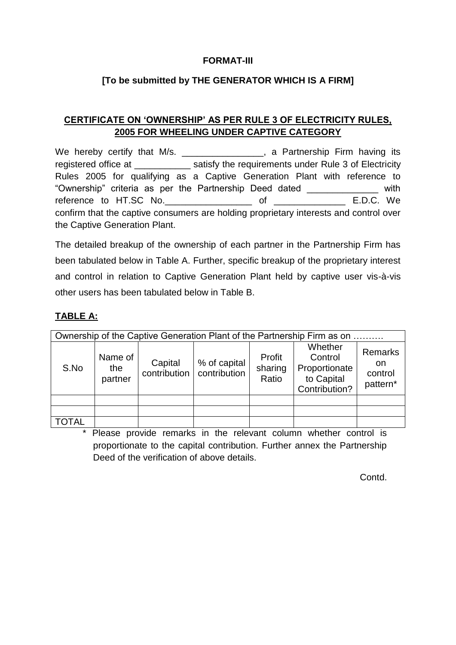## **FORMAT-III**

## **[To be submitted by THE GENERATOR WHICH IS A FIRM]**

## **CERTIFICATE ON 'OWNERSHIP' AS PER RULE 3 OF ELECTRICITY RULES, 2005 FOR WHEELING UNDER CAPTIVE CATEGORY**

We hereby certify that M/s. \_\_\_\_\_\_\_\_\_\_\_\_\_\_\_\_, a Partnership Firm having its registered office at The satisfy the requirements under Rule 3 of Electricity Rules 2005 for qualifying as a Captive Generation Plant with reference to "Ownership" criteria as per the Partnership Deed dated \_\_\_\_\_\_\_\_\_\_\_\_\_\_ with reference to HT.SC No.\_\_\_\_\_\_\_\_\_\_\_\_\_\_\_\_\_ of \_\_\_\_\_\_\_\_\_\_\_\_\_\_ E.D.C. We confirm that the captive consumers are holding proprietary interests and control over the Captive Generation Plant.

The detailed breakup of the ownership of each partner in the Partnership Firm has been tabulated below in Table A. Further, specific breakup of the proprietary interest and control in relation to Captive Generation Plant held by captive user vis-à-vis other users has been tabulated below in Table B.

# **TABLE A:**

| Ownership of the Captive Generation Plant of the Partnership Firm as on |                           |                         |                              |                            |                                                                    |                                      |  |  |
|-------------------------------------------------------------------------|---------------------------|-------------------------|------------------------------|----------------------------|--------------------------------------------------------------------|--------------------------------------|--|--|
| S.No                                                                    | Name of<br>the<br>partner | Capital<br>contribution | % of capital<br>contribution | Profit<br>sharing<br>Ratio | Whether<br>Control<br>Proportionate<br>to Capital<br>Contribution? | Remarks<br>on<br>control<br>pattern* |  |  |
|                                                                         |                           |                         |                              |                            |                                                                    |                                      |  |  |
|                                                                         |                           |                         |                              |                            |                                                                    |                                      |  |  |
| <b>TOTAL</b>                                                            |                           |                         |                              |                            |                                                                    |                                      |  |  |

\* Please provide remarks in the relevant column whether control is proportionate to the capital contribution. Further annex the Partnership Deed of the verification of above details.

Contd.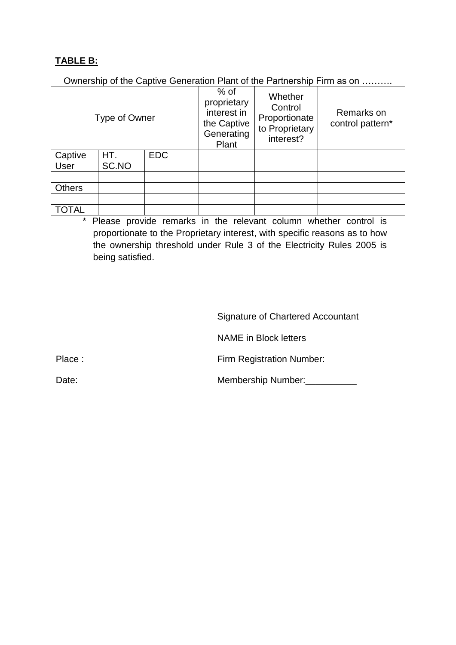## **TABLE B:**

|                        | Ownership of the Captive Generation Plant of the Partnership Firm as on |            |                                                                            |                                                                    |                                |  |  |  |  |  |
|------------------------|-------------------------------------------------------------------------|------------|----------------------------------------------------------------------------|--------------------------------------------------------------------|--------------------------------|--|--|--|--|--|
|                        | Type of Owner                                                           |            | $%$ of<br>proprietary<br>interest in<br>the Captive<br>Generating<br>Plant | Whether<br>Control<br>Proportionate<br>to Proprietary<br>interest? | Remarks on<br>control pattern* |  |  |  |  |  |
| Captive<br><b>User</b> | HT.<br>SC.NO                                                            | <b>EDC</b> |                                                                            |                                                                    |                                |  |  |  |  |  |
|                        |                                                                         |            |                                                                            |                                                                    |                                |  |  |  |  |  |
| <b>Others</b>          |                                                                         |            |                                                                            |                                                                    |                                |  |  |  |  |  |
|                        |                                                                         |            |                                                                            |                                                                    |                                |  |  |  |  |  |
| TOTAL                  |                                                                         |            |                                                                            |                                                                    |                                |  |  |  |  |  |

\* Please provide remarks in the relevant column whether control is proportionate to the Proprietary interest, with specific reasons as to how the ownership threshold under Rule 3 of the Electricity Rules 2005 is being satisfied.

Signature of Chartered Accountant

NAME in Block letters

Place : Firm Registration Number:

Date: Membership Number: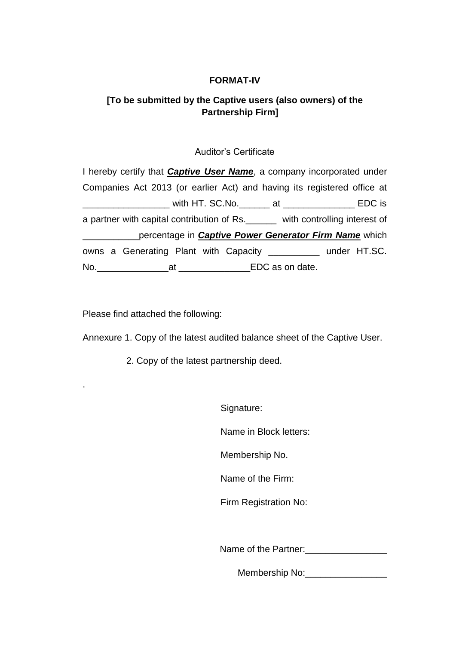## **FORMAT-IV**

# **[To be submitted by the Captive users (also owners) of the Partnership Firm]**

## Auditor's Certificate

| I hereby certify that <b>Captive User Name</b> , a company incorporated under  |  |  |  |
|--------------------------------------------------------------------------------|--|--|--|
| Companies Act 2013 (or earlier Act) and having its registered office at        |  |  |  |
| ______________ with HT. SC.No.______ at _______________ EDC is                 |  |  |  |
| a partner with capital contribution of Rs. ______ with controlling interest of |  |  |  |
| _______________percentage in <b>Captive Power Generator Firm Name</b> which    |  |  |  |
| owns a Generating Plant with Capacity __________ under HT.SC.                  |  |  |  |
|                                                                                |  |  |  |

Please find attached the following:

.

Annexure 1. Copy of the latest audited balance sheet of the Captive User.

2. Copy of the latest partnership deed.

Signature:

Name in Block letters:

Membership No.

Name of the Firm:

Firm Registration No:

Name of the Partner:

Membership No:\_\_\_\_\_\_\_\_\_\_\_\_\_\_\_\_\_\_\_\_\_